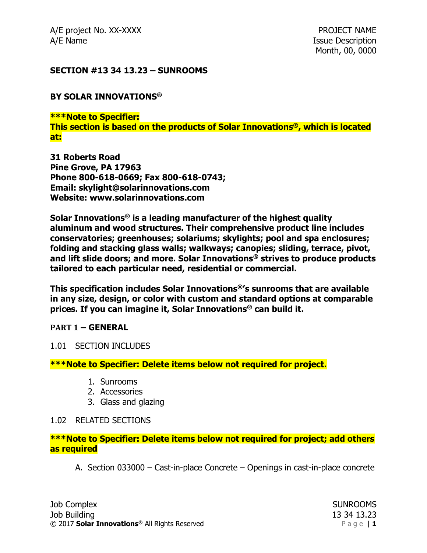A/E project No. XX-XXXX **PROJECT NAME** A/E Name **Issue Description** 

### **SECTION #13 34 13.23 – SUNROOMS**

### **BY SOLAR INNOVATIONS®**

**\*\*\*Note to Specifier: This section is based on the products of Solar Innovations®, which is located at:**

**31 Roberts Road Pine Grove, PA 17963 Phone 800-618-0669; Fax 800-618-0743; Email: skylight@solarinnovations.com Website: www.solarinnovations.com**

**Solar Innovations® is a leading manufacturer of the highest quality aluminum and wood structures. Their comprehensive product line includes conservatories; greenhouses; solariums; skylights; pool and spa enclosures; folding and stacking glass walls; walkways; canopies; sliding, terrace, pivot, and lift slide doors; and more. Solar Innovations® strives to produce products tailored to each particular need, residential or commercial.**

**This specification includes Solar Innovations®'s sunrooms that are available in any size, design, or color with custom and standard options at comparable prices. If you can imagine it, Solar Innovations® can build it.**

### **PART 1 – GENERAL**

### 1.01 SECTION INCLUDES

### **\*\*\*Note to Specifier: Delete items below not required for project.**

- 1. Sunrooms
- 2. Accessories
- 3. Glass and glazing

### 1.02 RELATED SECTIONS

### **\*\*\*Note to Specifier: Delete items below not required for project; add others as required**

A. Section 033000 – Cast-in-place Concrete – Openings in cast-in-place concrete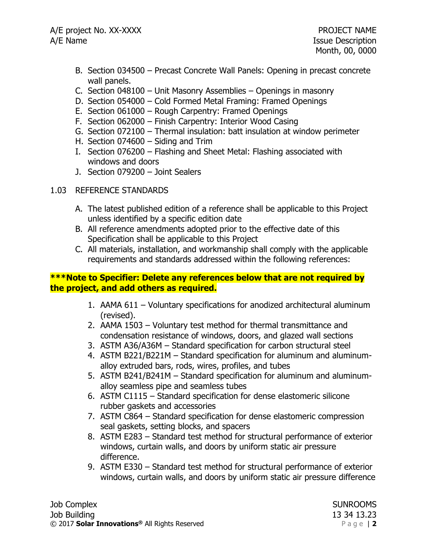- B. Section 034500 Precast Concrete Wall Panels: Opening in precast concrete wall panels.
- C. Section 048100 Unit Masonry Assemblies Openings in masonry
- D. Section 054000 Cold Formed Metal Framing: Framed Openings
- E. Section 061000 Rough Carpentry: Framed Openings
- F. Section 062000 Finish Carpentry: Interior Wood Casing
- G. Section 072100 Thermal insulation: batt insulation at window perimeter
- H. Section 074600 Siding and Trim
- I. Section 076200 Flashing and Sheet Metal: Flashing associated with windows and doors
- J. Section 079200 Joint Sealers

## 1.03 REFERENCE STANDARDS

- A. The latest published edition of a reference shall be applicable to this Project unless identified by a specific edition date
- B. All reference amendments adopted prior to the effective date of this Specification shall be applicable to this Project
- C. All materials, installation, and workmanship shall comply with the applicable requirements and standards addressed within the following references:

## **\*\*\*Note to Specifier: Delete any references below that are not required by the project, and add others as required.**

- 1. AAMA 611 Voluntary specifications for anodized architectural aluminum (revised).
- 2. AAMA 1503 Voluntary test method for thermal transmittance and condensation resistance of windows, doors, and glazed wall sections
- 3. ASTM A36/A36M Standard specification for carbon structural steel
- 4. ASTM B221/B221M Standard specification for aluminum and aluminumalloy extruded bars, rods, wires, profiles, and tubes
- 5. ASTM B241/B241M Standard specification for aluminum and aluminumalloy seamless pipe and seamless tubes
- 6. ASTM C1115 Standard specification for dense elastomeric silicone rubber gaskets and accessories
- 7. ASTM C864 Standard specification for dense elastomeric compression seal gaskets, setting blocks, and spacers
- 8. ASTM E283 Standard test method for structural performance of exterior windows, curtain walls, and doors by uniform static air pressure difference.
- 9. ASTM E330 Standard test method for structural performance of exterior windows, curtain walls, and doors by uniform static air pressure difference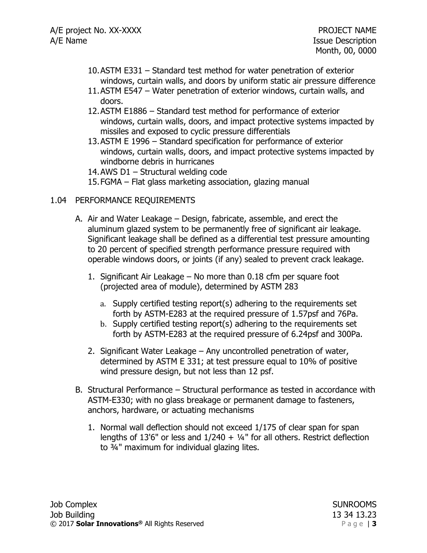- 10.ASTM E331 Standard test method for water penetration of exterior windows, curtain walls, and doors by uniform static air pressure difference
- 11.ASTM E547 Water penetration of exterior windows, curtain walls, and doors.
- 12.ASTM E1886 Standard test method for performance of exterior windows, curtain walls, doors, and impact protective systems impacted by missiles and exposed to cyclic pressure differentials
- 13.ASTM E 1996 Standard specification for performance of exterior windows, curtain walls, doors, and impact protective systems impacted by windborne debris in hurricanes

14.AWS D1 – Structural welding code

15.FGMA – Flat glass marketing association, glazing manual

## 1.04 PERFORMANCE REQUIREMENTS

- A. Air and Water Leakage Design, fabricate, assemble, and erect the aluminum glazed system to be permanently free of significant air leakage. Significant leakage shall be defined as a differential test pressure amounting to 20 percent of specified strength performance pressure required with operable windows doors, or joints (if any) sealed to prevent crack leakage.
	- 1. Significant Air Leakage No more than 0.18 cfm per square foot (projected area of module), determined by ASTM 283
		- a. Supply certified testing report(s) adhering to the requirements set forth by ASTM-E283 at the required pressure of 1.57psf and 76Pa.
		- b. Supply certified testing report(s) adhering to the requirements set forth by ASTM-E283 at the required pressure of 6.24psf and 300Pa.
	- 2. Significant Water Leakage Any uncontrolled penetration of water, determined by ASTM E 331; at test pressure equal to 10% of positive wind pressure design, but not less than 12 psf.
- B. Structural Performance Structural performance as tested in accordance with ASTM-E330; with no glass breakage or permanent damage to fasteners, anchors, hardware, or actuating mechanisms
	- 1. Normal wall deflection should not exceed 1/175 of clear span for span lengths of 13'6" or less and  $1/240 + 1/4$ " for all others. Restrict deflection to ¾" maximum for individual glazing lites.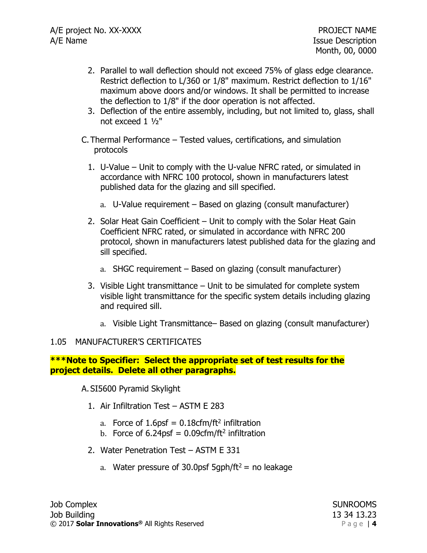- 2. Parallel to wall deflection should not exceed 75% of glass edge clearance. Restrict deflection to L/360 or 1/8" maximum. Restrict deflection to 1/16" maximum above doors and/or windows. It shall be permitted to increase the deflection to 1/8" if the door operation is not affected.
- 3. Deflection of the entire assembly, including, but not limited to, glass, shall not exceed 1 ½"
- C. Thermal Performance Tested values, certifications, and simulation protocols
	- 1. U-Value Unit to comply with the U-value NFRC rated, or simulated in accordance with NFRC 100 protocol, shown in manufacturers latest published data for the glazing and sill specified.
		- a. U-Value requirement Based on glazing (consult manufacturer)
	- 2. Solar Heat Gain Coefficient Unit to comply with the Solar Heat Gain Coefficient NFRC rated, or simulated in accordance with NFRC 200 protocol, shown in manufacturers latest published data for the glazing and sill specified.
		- a. SHGC requirement Based on glazing (consult manufacturer)
	- 3. Visible Light transmittance Unit to be simulated for complete system visible light transmittance for the specific system details including glazing and required sill.
		- a. Visible Light Transmittance– Based on glazing (consult manufacturer)

## 1.05 MANUFACTURER'S CERTIFICATES

### **\*\*\*Note to Specifier: Select the appropriate set of test results for the project details. Delete all other paragraphs.**

A. SI5600 Pyramid Skylight

- 1. Air Infiltration Test ASTM E 283
	- a. Force of  $1.6$ psf =  $0.18$ cfm/ft<sup>2</sup> infiltration
	- b. Force of 6.24psf =  $0.09$ cfm/ft<sup>2</sup> infiltration
- 2. Water Penetration Test ASTM E 331
	- a. Water pressure of 30.0psf 5qph/ft<sup>2</sup> = no leakage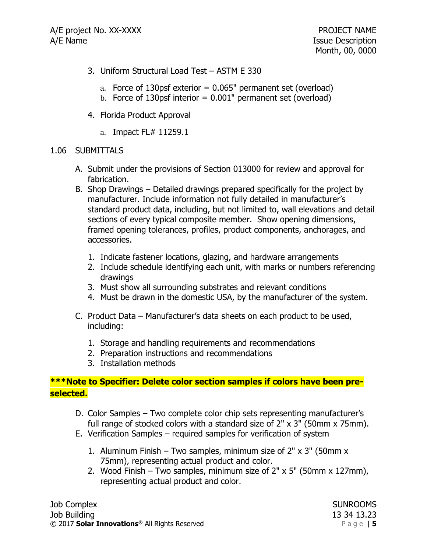- 3. Uniform Structural Load Test ASTM E 330
	- a. Force of 130psf exterior  $= 0.065$ " permanent set (overload)
	- b. Force of 130psf interior =  $0.001$ " permanent set (overload)
- 4. Florida Product Approval
	- a. Impact FL# 11259.1

### 1.06 SUBMITTALS

- A. Submit under the provisions of Section 013000 for review and approval for fabrication.
- B. Shop Drawings Detailed drawings prepared specifically for the project by manufacturer. Include information not fully detailed in manufacturer's standard product data, including, but not limited to, wall elevations and detail sections of every typical composite member. Show opening dimensions, framed opening tolerances, profiles, product components, anchorages, and accessories.
	- 1. Indicate fastener locations, glazing, and hardware arrangements
	- 2. Include schedule identifying each unit, with marks or numbers referencing drawings
	- 3. Must show all surrounding substrates and relevant conditions
	- 4. Must be drawn in the domestic USA, by the manufacturer of the system.
- C. Product Data Manufacturer's data sheets on each product to be used, including:
	- 1. Storage and handling requirements and recommendations
	- 2. Preparation instructions and recommendations
	- 3. Installation methods

## **\*\*\*Note to Specifier: Delete color section samples if colors have been preselected.**

- D. Color Samples Two complete color chip sets representing manufacturer's full range of stocked colors with a standard size of 2" x 3" (50mm x 75mm).
- E. Verification Samples required samples for verification of system
	- 1. Aluminum Finish Two samples, minimum size of 2" x 3" (50mm x 75mm), representing actual product and color.
	- 2. Wood Finish Two samples, minimum size of  $2" \times 5"$  (50mm  $\times$  127mm), representing actual product and color.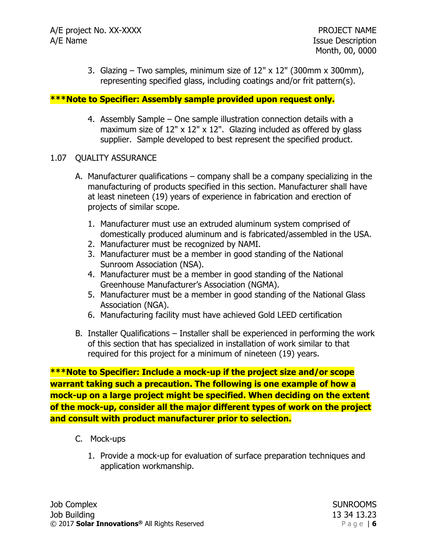3. Glazing – Two samples, minimum size of  $12" \times 12"$  (300mm x 300mm), representing specified glass, including coatings and/or frit pattern(s).

### **\*\*\*Note to Specifier: Assembly sample provided upon request only.**

4. Assembly Sample – One sample illustration connection details with a maximum size of 12" x 12" x 12". Glazing included as offered by glass supplier. Sample developed to best represent the specified product.

### 1.07 QUALITY ASSURANCE

- A. Manufacturer qualifications company shall be a company specializing in the manufacturing of products specified in this section. Manufacturer shall have at least nineteen (19) years of experience in fabrication and erection of projects of similar scope.
	- 1. Manufacturer must use an extruded aluminum system comprised of domestically produced aluminum and is fabricated/assembled in the USA.
	- 2. Manufacturer must be recognized by NAMI.
	- 3. Manufacturer must be a member in good standing of the National Sunroom Association (NSA).
	- 4. Manufacturer must be a member in good standing of the National Greenhouse Manufacturer's Association (NGMA).
	- 5. Manufacturer must be a member in good standing of the National Glass Association (NGA).
	- 6. Manufacturing facility must have achieved Gold LEED certification
- B. Installer Qualifications Installer shall be experienced in performing the work of this section that has specialized in installation of work similar to that required for this project for a minimum of nineteen (19) years.

**\*\*\*Note to Specifier: Include a mock-up if the project size and/or scope warrant taking such a precaution. The following is one example of how a mock-up on a large project might be specified. When deciding on the extent of the mock-up, consider all the major different types of work on the project and consult with product manufacturer prior to selection.**

- C. Mock-ups
	- 1. Provide a mock-up for evaluation of surface preparation techniques and application workmanship.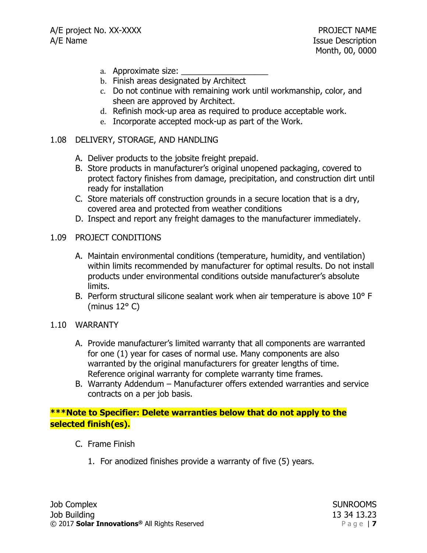- a. Approximate size:
- b. Finish areas designated by Architect
- c. Do not continue with remaining work until workmanship, color, and sheen are approved by Architect.
- d. Refinish mock-up area as required to produce acceptable work.
- e. Incorporate accepted mock-up as part of the Work.

### 1.08 DELIVERY, STORAGE, AND HANDLING

- A. Deliver products to the jobsite freight prepaid.
- B. Store products in manufacturer's original unopened packaging, covered to protect factory finishes from damage, precipitation, and construction dirt until ready for installation
- C. Store materials off construction grounds in a secure location that is a dry, covered area and protected from weather conditions
- D. Inspect and report any freight damages to the manufacturer immediately.

### 1.09 PROJECT CONDITIONS

- A. Maintain environmental conditions (temperature, humidity, and ventilation) within limits recommended by manufacturer for optimal results. Do not install products under environmental conditions outside manufacturer's absolute limits.
- B. Perform structural silicone sealant work when air temperature is above 10° F (minus 12° C)

## 1.10 WARRANTY

- A. Provide manufacturer's limited warranty that all components are warranted for one (1) year for cases of normal use. Many components are also warranted by the original manufacturers for greater lengths of time. Reference original warranty for complete warranty time frames.
- B. Warranty Addendum Manufacturer offers extended warranties and service contracts on a per job basis.

## **\*\*\*Note to Specifier: Delete warranties below that do not apply to the selected finish(es).**

- C. Frame Finish
	- 1. For anodized finishes provide a warranty of five (5) years.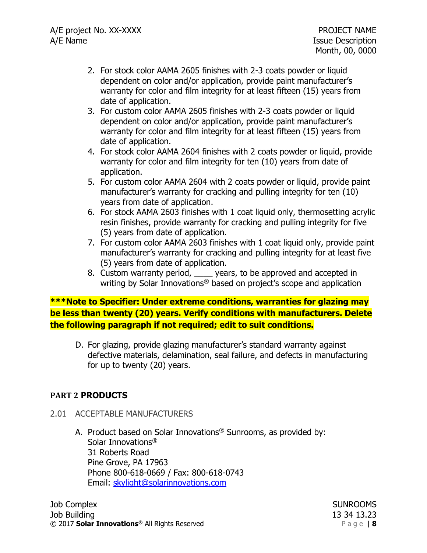- 2. For stock color AAMA 2605 finishes with 2-3 coats powder or liquid dependent on color and/or application, provide paint manufacturer's warranty for color and film integrity for at least fifteen (15) years from date of application.
- 3. For custom color AAMA 2605 finishes with 2-3 coats powder or liquid dependent on color and/or application, provide paint manufacturer's warranty for color and film integrity for at least fifteen (15) years from date of application.
- 4. For stock color AAMA 2604 finishes with 2 coats powder or liquid, provide warranty for color and film integrity for ten (10) years from date of application.
- 5. For custom color AAMA 2604 with 2 coats powder or liquid, provide paint manufacturer's warranty for cracking and pulling integrity for ten (10) years from date of application.
- 6. For stock AAMA 2603 finishes with 1 coat liquid only, thermosetting acrylic resin finishes, provide warranty for cracking and pulling integrity for five (5) years from date of application.
- 7. For custom color AAMA 2603 finishes with 1 coat liquid only, provide paint manufacturer's warranty for cracking and pulling integrity for at least five (5) years from date of application.
- 8. Custom warranty period, say years, to be approved and accepted in writing by Solar Innovations<sup>®</sup> based on project's scope and application

**\*\*\*Note to Specifier: Under extreme conditions, warranties for glazing may be less than twenty (20) years. Verify conditions with manufacturers. Delete the following paragraph if not required; edit to suit conditions.**

D. For glazing, provide glazing manufacturer's standard warranty against defective materials, delamination, seal failure, and defects in manufacturing for up to twenty (20) years.

## **PART 2 PRODUCTS**

- 2.01 ACCEPTABLE MANUFACTURERS
	- A. Product based on Solar Innovations<sup>®</sup> Sunrooms, as provided by: Solar Innovations® 31 Roberts Road Pine Grove, PA 17963 Phone 800-618-0669 / Fax: 800-618-0743 Email: [skylight@solarinnovations.com](mailto:skylight@solarinnovations.com)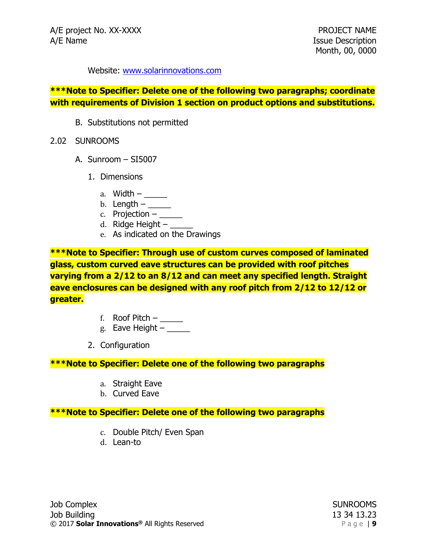Website: [www.solarinnovations.com](http://www.solarinnovations.com/)

### **\*\*\*Note to Specifier: Delete one of the following two paragraphs; coordinate with requirements of Division 1 section on product options and substitutions.**

- B. Substitutions not permitted
- 2.02 SUNROOMS
	- A. Sunroom SI5007
		- 1. Dimensions
			- a. Width  $-\underline{\hspace{2cm}}$
			- b. Length  $-\underline{\hspace{2cm}}$
			- c. Projection  $-$
			- d. Ridge Height  $-$
			- e. As indicated on the Drawings

**\*\*\*Note to Specifier: Through use of custom curves composed of laminated glass, custom curved eave structures can be provided with roof pitches varying from a 2/12 to an 8/12 and can meet any specified length. Straight eave enclosures can be designed with any roof pitch from 2/12 to 12/12 or greater.**

- f. Roof Pitch  $-\underline{\qquad}$
- g. Eave Height  $-\underline{\hspace{2cm}}$
- 2. Configuration

### **\*\*\*Note to Specifier: Delete one of the following two paragraphs**

- a. Straight Eave
- b. Curved Eave

## **\*\*\*Note to Specifier: Delete one of the following two paragraphs**

- c. Double Pitch/ Even Span
- d. Lean-to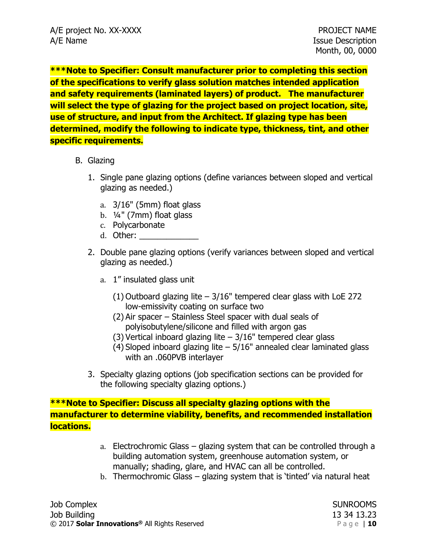**\*\*\*Note to Specifier: Consult manufacturer prior to completing this section of the specifications to verify glass solution matches intended application and safety requirements (laminated layers) of product. The manufacturer will select the type of glazing for the project based on project location, site, use of structure, and input from the Architect. If glazing type has been determined, modify the following to indicate type, thickness, tint, and other specific requirements.**

### B. Glazing

- 1. Single pane glazing options (define variances between sloped and vertical glazing as needed.)
	- a. 3/16" (5mm) float glass
	- b. ¼" (7mm) float glass
	- c. Polycarbonate
	- d. Other:
- 2. Double pane glazing options (verify variances between sloped and vertical glazing as needed.)
	- a. 1" insulated glass unit
		- (1) Outboard glazing lite 3/16" tempered clear glass with LoE 272 low-emissivity coating on surface two
		- (2) Air spacer Stainless Steel spacer with dual seals of polyisobutylene/silicone and filled with argon gas
		- (3) Vertical inboard glazing lite 3/16" tempered clear glass
		- (4) Sloped inboard glazing lite  $-5/16$ " annealed clear laminated glass with an .060PVB interlayer
- 3. Specialty glazing options (job specification sections can be provided for the following specialty glazing options.)

# **\*\*\*Note to Specifier: Discuss all specialty glazing options with the manufacturer to determine viability, benefits, and recommended installation locations.**

- a. Electrochromic Glass glazing system that can be controlled through a building automation system, greenhouse automation system, or manually; shading, glare, and HVAC can all be controlled.
- b. Thermochromic Glass glazing system that is 'tinted' via natural heat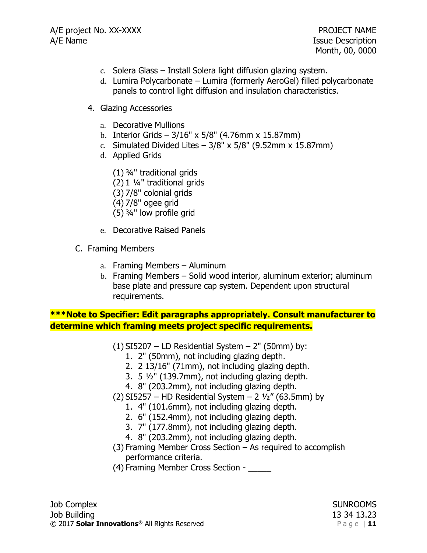- c. Solera Glass Install Solera light diffusion glazing system.
- d. Lumira Polycarbonate Lumira (formerly AeroGel) filled polycarbonate panels to control light diffusion and insulation characteristics.
- 4. Glazing Accessories
	- a. Decorative Mullions
	- b. Interior Grids 3/16" x 5/8" (4.76mm x 15.87mm)
	- c. Simulated Divided Lites  $-3/8$ " x 5/8" (9.52mm x 15.87mm)
	- d. Applied Grids
		- (1) ¾" traditional grids
		- (2) 1 ¼" traditional grids
		- (3) 7/8" colonial grids
		- (4) 7/8" ogee grid
		- (5) ¾" low profile grid
	- e. Decorative Raised Panels
- C. Framing Members
	- a. Framing Members Aluminum
	- b. Framing Members Solid wood interior, aluminum exterior; aluminum base plate and pressure cap system. Dependent upon structural requirements.

**\*\*\*Note to Specifier: Edit paragraphs appropriately. Consult manufacturer to determine which framing meets project specific requirements.**

- $(1)$  SI5207 LD Residential System 2" (50mm) by:
	- 1. 2" (50mm), not including glazing depth.
	- 2. 2 13/16" (71mm), not including glazing depth.
	- 3. 5 ½" (139.7mm), not including glazing depth.
	- 4. 8" (203.2mm), not including glazing depth.
- (2) SI5257 HD Residential System 2  $1/2$ " (63.5mm) by
	- 1. 4" (101.6mm), not including glazing depth.
	- 2. 6" (152.4mm), not including glazing depth.
	- 3. 7" (177.8mm), not including glazing depth.
	- 4. 8" (203.2mm), not including glazing depth.
- (3) Framing Member Cross Section As required to accomplish performance criteria.
- (4) Framing Member Cross Section \_\_\_\_\_

Job Complex SUNROOMS Job Building 13 34 13.23 © 2017 **Solar Innovations®** All Rights Reserved P a g e | **11**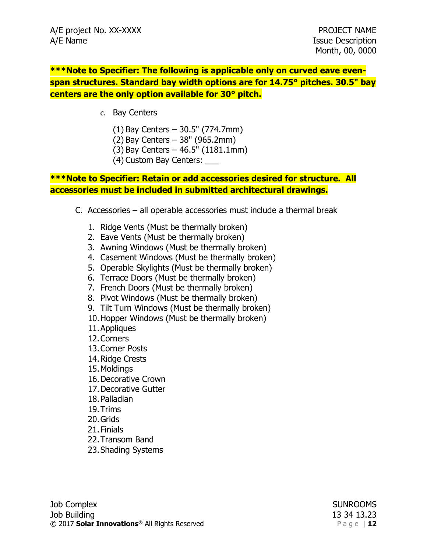**\*\*\*Note to Specifier: The following is applicable only on curved eave evenspan structures. Standard bay width options are for 14.75° pitches. 30.5" bay centers are the only option available for 30° pitch.**

- c. Bay Centers
	- (1) Bay Centers 30.5" (774.7mm)
	- (2) Bay Centers 38" (965.2mm)
	- (3) Bay Centers 46.5" (1181.1mm)
	- (4) Custom Bay Centers: \_\_\_

## **\*\*\*Note to Specifier: Retain or add accessories desired for structure. All accessories must be included in submitted architectural drawings.**

- C. Accessories all operable accessories must include a thermal break
	- 1. Ridge Vents (Must be thermally broken)
	- 2. Eave Vents (Must be thermally broken)
	- 3. Awning Windows (Must be thermally broken)
	- 4. Casement Windows (Must be thermally broken)
	- 5. Operable Skylights (Must be thermally broken)
	- 6. Terrace Doors (Must be thermally broken)
	- 7. French Doors (Must be thermally broken)
	- 8. Pivot Windows (Must be thermally broken)
	- 9. Tilt Turn Windows (Must be thermally broken)
	- 10.Hopper Windows (Must be thermally broken)
	- 11.Appliques
	- 12.Corners
	- 13.Corner Posts
	- 14.Ridge Crests
	- 15.Moldings
	- 16.Decorative Crown
	- 17.Decorative Gutter
	- 18.Palladian
	- 19.Trims
	- 20.Grids
	- 21.Finials
	- 22.Transom Band
	- 23.Shading Systems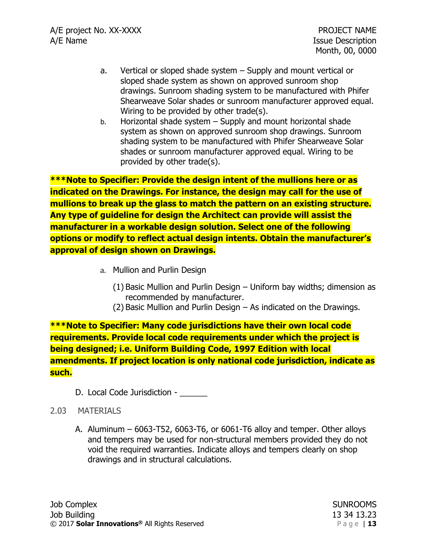- a. Vertical or sloped shade system Supply and mount vertical or sloped shade system as shown on approved sunroom shop drawings. Sunroom shading system to be manufactured with Phifer Shearweave Solar shades or sunroom manufacturer approved equal. Wiring to be provided by other trade(s).
- b. Horizontal shade system Supply and mount horizontal shade system as shown on approved sunroom shop drawings. Sunroom shading system to be manufactured with Phifer Shearweave Solar shades or sunroom manufacturer approved equal. Wiring to be provided by other trade(s).

**\*\*\*Note to Specifier: Provide the design intent of the mullions here or as indicated on the Drawings. For instance, the design may call for the use of mullions to break up the glass to match the pattern on an existing structure. Any type of guideline for design the Architect can provide will assist the manufacturer in a workable design solution. Select one of the following options or modify to reflect actual design intents. Obtain the manufacturer's approval of design shown on Drawings.**

- a. Mullion and Purlin Design
	- (1) Basic Mullion and Purlin Design Uniform bay widths; dimension as recommended by manufacturer.
	- (2) Basic Mullion and Purlin Design As indicated on the Drawings.

**\*\*\*Note to Specifier: Many code jurisdictions have their own local code requirements. Provide local code requirements under which the project is being designed; i.e. Uniform Building Code, 1997 Edition with local amendments. If project location is only national code jurisdiction, indicate as such.**

D. Local Code Jurisdiction -

## 2.03 MATERIALS

A. Aluminum – 6063-T52, 6063-T6, or 6061-T6 alloy and temper. Other alloys and tempers may be used for non-structural members provided they do not void the required warranties. Indicate alloys and tempers clearly on shop drawings and in structural calculations.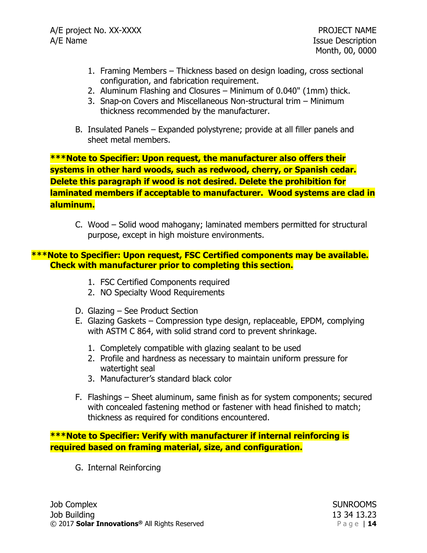- 1. Framing Members Thickness based on design loading, cross sectional configuration, and fabrication requirement.
- 2. Aluminum Flashing and Closures Minimum of 0.040" (1mm) thick.
- 3. Snap-on Covers and Miscellaneous Non-structural trim Minimum thickness recommended by the manufacturer.
- B. Insulated Panels Expanded polystyrene; provide at all filler panels and sheet metal members.

**\*\*\*Note to Specifier: Upon request, the manufacturer also offers their systems in other hard woods, such as redwood, cherry, or Spanish cedar. Delete this paragraph if wood is not desired. Delete the prohibition for laminated members if acceptable to manufacturer. Wood systems are clad in aluminum.**

C. Wood – Solid wood mahogany; laminated members permitted for structural purpose, except in high moisture environments.

### **\*\*\*Note to Specifier: Upon request, FSC Certified components may be available. Check with manufacturer prior to completing this section.**

- 1. FSC Certified Components required
- 2. NO Specialty Wood Requirements
- D. Glazing See Product Section
- E. Glazing Gaskets Compression type design, replaceable, EPDM, complying with ASTM C 864, with solid strand cord to prevent shrinkage.
	- 1. Completely compatible with glazing sealant to be used
	- 2. Profile and hardness as necessary to maintain uniform pressure for watertight seal
	- 3. Manufacturer's standard black color
- F. Flashings Sheet aluminum, same finish as for system components; secured with concealed fastening method or fastener with head finished to match; thickness as required for conditions encountered.

**\*\*\*Note to Specifier: Verify with manufacturer if internal reinforcing is required based on framing material, size, and configuration.**

G. Internal Reinforcing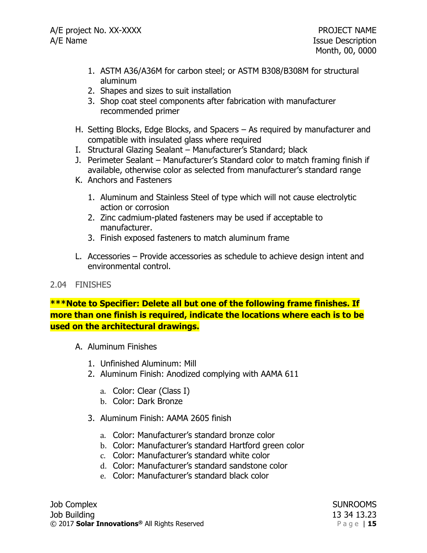- 1. ASTM A36/A36M for carbon steel; or ASTM B308/B308M for structural aluminum
- 2. Shapes and sizes to suit installation
- 3. Shop coat steel components after fabrication with manufacturer recommended primer
- H. Setting Blocks, Edge Blocks, and Spacers As required by manufacturer and compatible with insulated glass where required
- I. Structural Glazing Sealant Manufacturer's Standard; black
- J. Perimeter Sealant Manufacturer's Standard color to match framing finish if available, otherwise color as selected from manufacturer's standard range
- K. Anchors and Fasteners
	- 1. Aluminum and Stainless Steel of type which will not cause electrolytic action or corrosion
	- 2. Zinc cadmium-plated fasteners may be used if acceptable to manufacturer.
	- 3. Finish exposed fasteners to match aluminum frame
- L. Accessories Provide accessories as schedule to achieve design intent and environmental control.

## 2.04 FINISHES

**\*\*\*Note to Specifier: Delete all but one of the following frame finishes. If more than one finish is required, indicate the locations where each is to be used on the architectural drawings.**

- A. Aluminum Finishes
	- 1. Unfinished Aluminum: Mill
	- 2. Aluminum Finish: Anodized complying with AAMA 611
		- a. Color: Clear (Class I)
		- b. Color: Dark Bronze
	- 3. Aluminum Finish: AAMA 2605 finish
		- a. Color: Manufacturer's standard bronze color
		- b. Color: Manufacturer's standard Hartford green color
		- c. Color: Manufacturer's standard white color
		- d. Color: Manufacturer's standard sandstone color
		- e. Color: Manufacturer's standard black color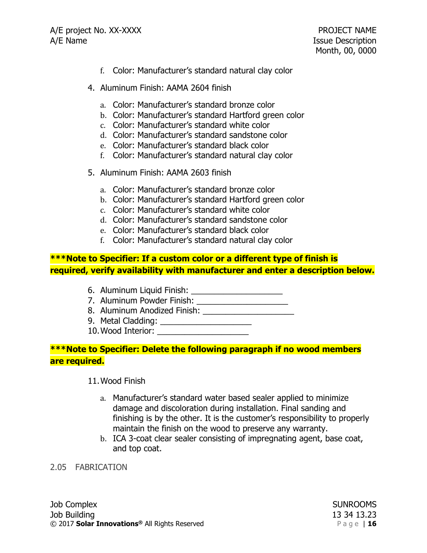- f. Color: Manufacturer's standard natural clay color
- 4. Aluminum Finish: AAMA 2604 finish
	- a. Color: Manufacturer's standard bronze color
	- b. Color: Manufacturer's standard Hartford green color
	- c. Color: Manufacturer's standard white color
	- d. Color: Manufacturer's standard sandstone color
	- e. Color: Manufacturer's standard black color
	- f. Color: Manufacturer's standard natural clay color
- 5. Aluminum Finish: AAMA 2603 finish
	- a. Color: Manufacturer's standard bronze color
	- b. Color: Manufacturer's standard Hartford green color
	- c. Color: Manufacturer's standard white color
	- d. Color: Manufacturer's standard sandstone color
	- e. Color: Manufacturer's standard black color
	- f. Color: Manufacturer's standard natural clay color

## **\*\*\*Note to Specifier: If a custom color or a different type of finish is required, verify availability with manufacturer and enter a description below.**

- 6. Aluminum Liquid Finish: \_\_\_\_\_\_\_\_\_\_\_\_\_\_\_\_\_\_\_\_
- 7. Aluminum Powder Finish: \_\_\_\_\_\_\_\_\_\_\_\_\_\_\_\_\_\_\_\_
- 8. Aluminum Anodized Finish: \_\_\_\_\_\_\_\_\_\_\_\_\_\_\_\_\_\_\_\_
- 9. Metal Cladding: \_\_\_\_\_\_\_\_\_\_\_\_\_\_\_\_\_\_\_\_
- 10. Wood Interior:

### **\*\*\*Note to Specifier: Delete the following paragraph if no wood members are required.**

11.Wood Finish

- a. Manufacturer's standard water based sealer applied to minimize damage and discoloration during installation. Final sanding and finishing is by the other. It is the customer's responsibility to properly maintain the finish on the wood to preserve any warranty.
- b. ICA 3-coat clear sealer consisting of impregnating agent, base coat, and top coat.

#### 2.05 FABRICATION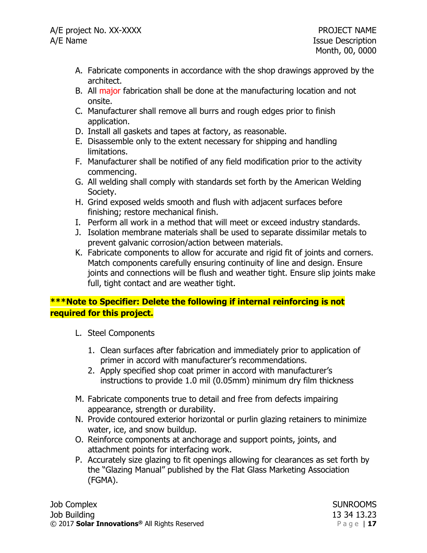- A. Fabricate components in accordance with the shop drawings approved by the architect.
- B. All major fabrication shall be done at the manufacturing location and not onsite.
- C. Manufacturer shall remove all burrs and rough edges prior to finish application.
- D. Install all gaskets and tapes at factory, as reasonable.
- E. Disassemble only to the extent necessary for shipping and handling limitations.
- F. Manufacturer shall be notified of any field modification prior to the activity commencing.
- G. All welding shall comply with standards set forth by the American Welding Society.
- H. Grind exposed welds smooth and flush with adjacent surfaces before finishing; restore mechanical finish.
- I. Perform all work in a method that will meet or exceed industry standards.
- J. Isolation membrane materials shall be used to separate dissimilar metals to prevent galvanic corrosion/action between materials.
- K. Fabricate components to allow for accurate and rigid fit of joints and corners. Match components carefully ensuring continuity of line and design. Ensure joints and connections will be flush and weather tight. Ensure slip joints make full, tight contact and are weather tight.

# **\*\*\*Note to Specifier: Delete the following if internal reinforcing is not required for this project.**

- L. Steel Components
	- 1. Clean surfaces after fabrication and immediately prior to application of primer in accord with manufacturer's recommendations.
	- 2. Apply specified shop coat primer in accord with manufacturer's instructions to provide 1.0 mil (0.05mm) minimum dry film thickness
- M. Fabricate components true to detail and free from defects impairing appearance, strength or durability.
- N. Provide contoured exterior horizontal or purlin glazing retainers to minimize water, ice, and snow buildup.
- O. Reinforce components at anchorage and support points, joints, and attachment points for interfacing work.
- P. Accurately size glazing to fit openings allowing for clearances as set forth by the "Glazing Manual" published by the Flat Glass Marketing Association (FGMA).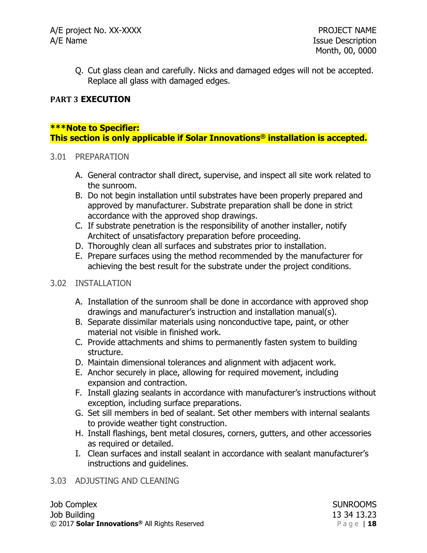Q. Cut glass clean and carefully. Nicks and damaged edges will not be accepted. Replace all glass with damaged edges.

## **PART 3 EXECUTION**

## **\*\*\*Note to Specifier:**

**This section is only applicable if Solar Innovations® installation is accepted.**

### 3.01 PREPARATION

- A. General contractor shall direct, supervise, and inspect all site work related to the sunroom.
- B. Do not begin installation until substrates have been properly prepared and approved by manufacturer. Substrate preparation shall be done in strict accordance with the approved shop drawings.
- C. If substrate penetration is the responsibility of another installer, notify Architect of unsatisfactory preparation before proceeding.
- D. Thoroughly clean all surfaces and substrates prior to installation.
- E. Prepare surfaces using the method recommended by the manufacturer for achieving the best result for the substrate under the project conditions.

## 3.02 INSTALLATION

- A. Installation of the sunroom shall be done in accordance with approved shop drawings and manufacturer's instruction and installation manual(s).
- B. Separate dissimilar materials using nonconductive tape, paint, or other material not visible in finished work.
- C. Provide attachments and shims to permanently fasten system to building structure.
- D. Maintain dimensional tolerances and alignment with adjacent work.
- E. Anchor securely in place, allowing for required movement, including expansion and contraction.
- F. Install glazing sealants in accordance with manufacturer's instructions without exception, including surface preparations.
- G. Set sill members in bed of sealant. Set other members with internal sealants to provide weather tight construction.
- H. Install flashings, bent metal closures, corners, gutters, and other accessories as required or detailed.
- I. Clean surfaces and install sealant in accordance with sealant manufacturer's instructions and guidelines.

## 3.03 ADJUSTING AND CLEANING